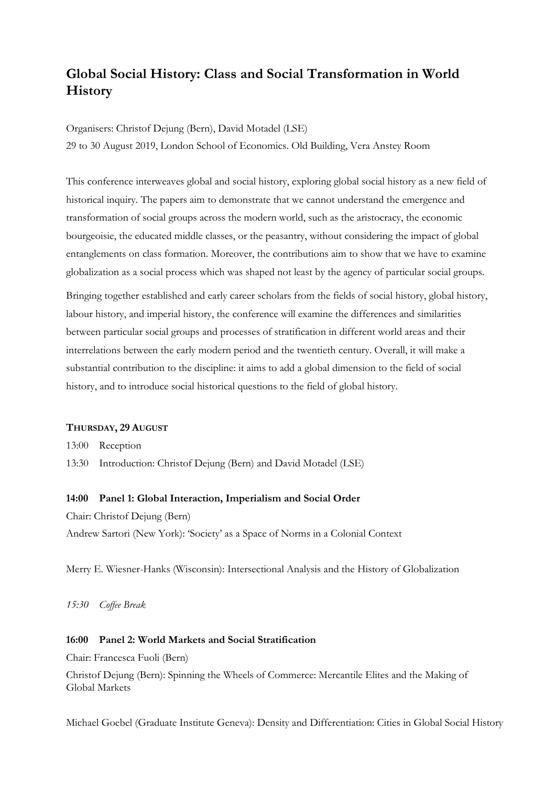# Global Social History: Class and Social Transformation in World **History**

Organisers: Christof Dejung (Bern), David Motadel (LSE)

29 to 30 August 2019, London School of Economics. Old Building, Vera Anstey Room

This conference interweaves global and social history, exploring global social history as a new field of historical inquiry. The papers aim to demonstrate that we cannot understand the emergence and transformation of social groups across the modern world, such as the aristocracy, the economic bourgeoisie, the educated middle classes, or the peasantry, without considering the impact of global entanglements on class formation. Moreover, the contributions aim to show that we have to examine globalization as a social process which was shaped not least by the agency of particular social groups.

Bringing together established and early career scholars from the fields of social history, global history, labour history, and imperial history, the conference will examine the differences and similarities between particular social groups and processes of stratification in different world areas and their interrelations between the early modern period and the twentieth century. Overall, it will make a substantial contribution to the discipline: it aims to add a global dimension to the field of social history, and to introduce social historical questions to the field of global history.

#### THURSDAY, 29 AUGUST

13:00 Reception

13:30 Introduction: Christof Dejung (Bern) and David Motadel (LSE)

#### 14:00 Panel 1: Global Interaction, Imperialism and Social Order

Chair: Christof Dejung (Bern)

Andrew Sartori (New York): 'Society' as a Space of Norms in a Colonial Context

Merry E. Wiesner-Hanks (Wisconsin): Intersectional Analysis and the History of Globalization

15:30 Coffee Break

### 16:00 Panel 2: World Markets and Social Stratification

Chair: Francesca Fuoli (Bern)

Christof Dejung (Bern): Spinning the Wheels of Commerce: Mercantile Elites and the Making of Global Markets

Michael Goebel (Graduate Institute Geneva): Density and Differentiation: Cities in Global Social History